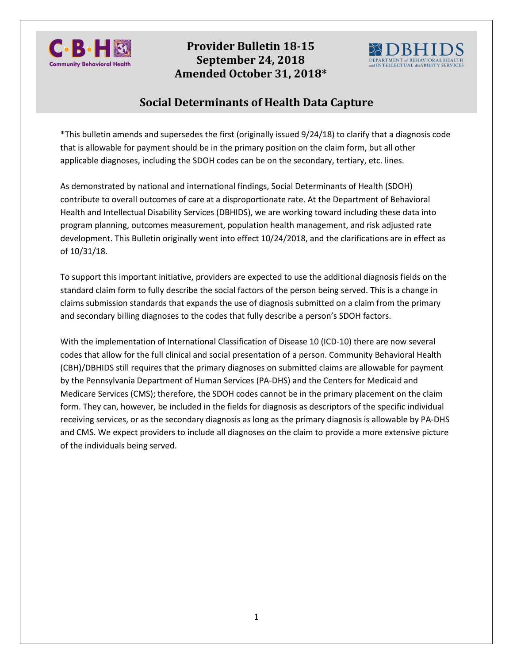

# **Amended October 31, 2018\*Provider Bulletin 18-15 September 24, 2018**



# **Social Determinants of Health Data Capture**

\*This bulletin amends and supersedes the first (originally issued 9/24/18) to clarify that a diagnosis code that is allowable for payment should be in the primary position on the claim form, but all other applicable diagnoses, including the SDOH codes can be on the secondary, tertiary, etc. lines.

As demonstrated by national and international findings, Social Determinants of Health (SDOH) contribute to overall outcomes of care at a disproportionate rate. At the Department of Behavioral Health and Intellectual Disability Services (DBHIDS), we are working toward including these data into program planning, outcomes measurement, population health management, and risk adjusted rate development. This Bulletin originally went into effect 10/24/2018, and the clarifications are in effect as of 10/31/18.

To support this important initiative, providers are expected to use the additional diagnosis fields on the standard claim form to fully describe the social factors of the person being served. This is a change in claims submission standards that expands the use of diagnosis submitted on a claim from the primary and secondary billing diagnoses to the codes that fully describe a person's SDOH factors.

With the implementation of International Classification of Disease 10 (ICD-10) there are now several codes that allow for the full clinical and social presentation of a person. Community Behavioral Health (CBH)/DBHIDS still requires that the primary diagnoses on submitted claims are allowable for payment by the Pennsylvania Department of Human Services (PA-DHS) and the Centers for Medicaid and Medicare Services (CMS); therefore, the SDOH codes cannot be in the primary placement on the claim form. They can, however, be included in the fields for diagnosis as descriptors of the specific individual receiving services, or as the secondary diagnosis as long as the primary diagnosis is allowable by PA-DHS and CMS. We expect providers to include all diagnoses on the claim to provide a more extensive picture of the individuals being served.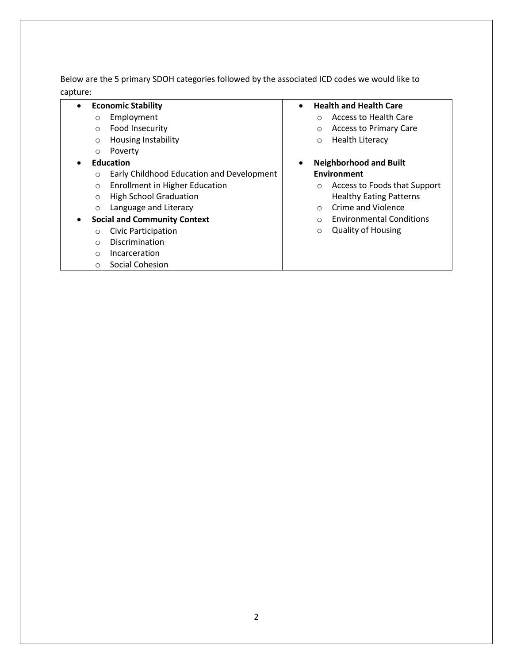Below are the 5 primary SDOH categories followed by the associated ICD codes we would like to capture:

### • **Economic Stability**

- o Employment
- o Food Insecurity
- o Housing Instability
- o Poverty
- **Education**
	- o Early Childhood Education and Development
	- o Enrollment in Higher Education
	- o High School Graduation
	- o Language and Literacy

#### • **Social and Community Context**

- o Civic Participation
- o Discrimination
- o Incarceration
- o Social Cohesion

#### • **Health and Health Care**

- o Access to Health Care
- o Access to Primary Care
- o Health Literacy

### • **Neighborhood and Built Environment**

- o Access to Foods that Support Healthy Eating Patterns
- o Crime and Violence
- o Environmental Conditions
- o Quality of Housing